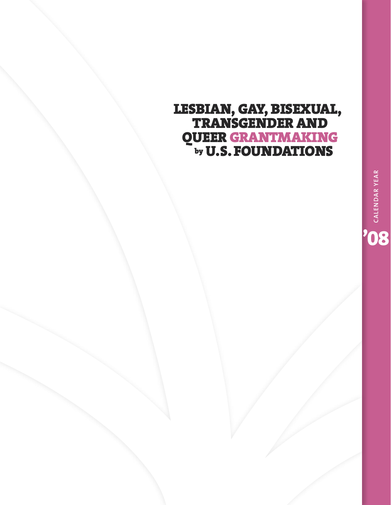# **LESBIAN, GAY, BISEXUAL, TRANSGENDER AND QUEER GRANTMAKING by U.S.FOUNDATIONS**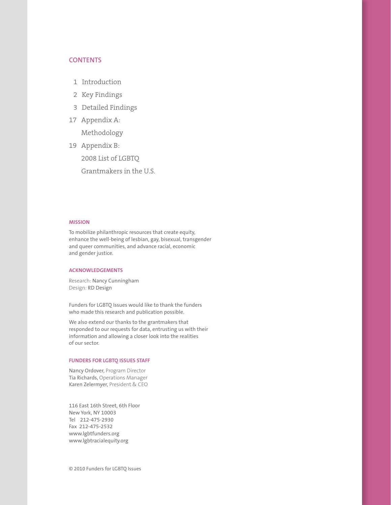## **CONTENTS**

- 1 Introduction
- 2 Key Findings
- 3 Detailed Findings
- 17 Appendix A:

Methodology

19 Appendix B: 2008 List of LGBTQ Grantmakers in the U.S.

#### **MISSION**

To mobilize philanthropic resources that create equity, enhance the well-being of lesbian, gay, bisexual, transgender and queer communities, and advance racial, economic and gender justice.

#### **ACKNOWLEDGEMENTS**

Research: Nancy Cunningham Design: RD Design

Funders for LGBTQ Issues would like to thank the funders who made this research and publication possible.

We also extend our thanks to the grantmakers that responded to our requests for data, entrusting us with their information and allowing a closer look into the realities of our sector.

#### **FUNDERS FOR LGBTQ ISSUES STAFF**

Nancy Ordover, Program Director Tia Richards, Operations Manager Karen Zelermyer, President & CEO

116 East 16th Street, 6th Floor New York, NY 10003 Tel 212-475-2930 Fax 212-475-2532 www.lgbtfunders.org www.lgbtracialequity.org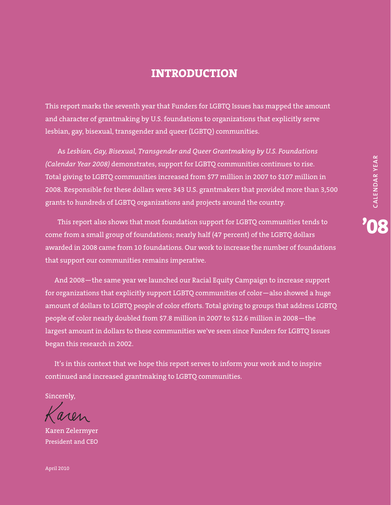# **INTRODUCTION**

This report marks the seventh year that Funders for LGBTQ Issues has mapped the amount and character of grantmaking by U.S. foundations to organizations that explicitly serve lesbian, gay, bisexual, transgender and queer (LGBTQ) communities.

As *Lesbian, Gay, Bisexual, Transgender and Queer Grantmaking by U.S. Foundations (Calendar Year 2008)* demonstrates, support for LGBTQ communities continues to rise. Total giving to LGBTQ communities increased from \$77 million in 2007 to \$107 million in 2008. Responsible for these dollars were 343 U.S. grantmakers that provided more than 3,500 grants to hundreds of LGBTQ organizations and projects around the country.

This report also shows that most foundation support for LGBTQ communities tends to come from a small group of foundations; nearly half (47 percent) of the LGBTQ dollars awarded in 2008 came from 10 foundations. Our work to increase the number of foundations that support our communities remains imperative.

And 2008—the same year we launched our Racial Equity Campaign to increase support for organizations that explicitly support LGBTQ communities of color—also showed a huge amount of dollars to LGBTQ people of color efforts. Total giving to groups that address LGBTQ people of color nearly doubled from \$7.8 million in 2007 to \$12.6 million in 2008—the largest amount in dollars to these communities we've seen since Funders for LGBTQ Issues began this research in 2002.

It's in this context that we hope this report serves to inform your work and to inspire continued and increased grantmaking to LGBTQ communities.

Sincerely,

Karen Zelermyer President and CEO

**'08 C ALEN D A R YEA R**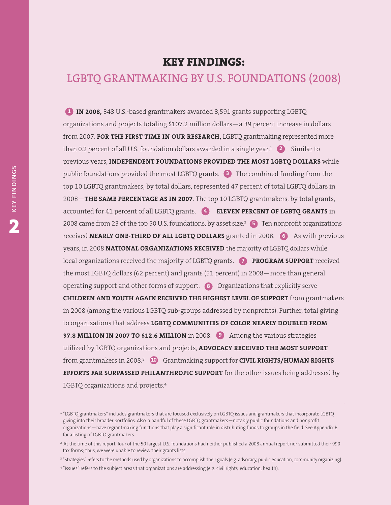# **KEY FINDINGS:**

# LGBTQ GRANTMAKING BY U.S. FOUNDATIONS (2008)

**IN 2008,** 343 U.S.-based grantmakers awarded 3,591 grants supporting LGBTQ organizations and projects totaling \$107.2 million dollars—a 39 percent increase in dollars from 2007. **FOR THE FIRST TIME IN OUR RESEARCH,** LGBTQ grantmaking represented more than 0.2 percent of all U.S. foundation dollars awarded in a single year.<sup>1</sup> (2) Similar to previous years, **INDEPENDENT FOUNDATIONS PROVIDED THE MOST LGBTQ DOLLARS** while public foundations provided the most LGBTQ grants. The combined funding from the **3** top 10 LGBTQ grantmakers, by total dollars, represented 47 percent of total LGBTQ dollars in 2008—**THE SAME PERCENTAGE AS IN 2007**. The top 10 LGBTQ grantmakers, by total grants, accounted for 41 percent of all LGBTQ grants. **ELEVEN PERCENT OF LGBTQ GRANTS** in **4**2008 came from 23 of the top 50 U.S. foundations, by asset size. <sup>2</sup> Ten nonprofit organizations **5 received NEARLY ONE-THIRD OF ALL LGBTQ DOLLARS** granted in 2008. (6) As with previous years, in 2008 **NATIONAL ORGANIZATIONS RECEIVED** the majority of LGBTQ dollars while local organizations received the majority of LGBTQ grants. **PROGRAM SUPPORT** received **7** the most LGBTQ dollars (62 percent) and grants (51 percent) in 2008—more than general operating support and other forms of support. **8** Organizations that explicitly serve **CHILDREN AND YOUTH AGAIN RECEIVED THE HIGHEST LEVEL OF SUPPORT** from grantmakers in 2008 (among the various LGBTQ sub-groups addressed by nonprofits). Further, total giving to organizations that address **LGBTQ COMMUNITIES OF COLOR NEARLY DOUBLED FROM \$7.8 MILLION IN 2007 TO \$12.6 MILLION** in 2008. **9** Among the various strategies utilized by LGBTQ organizations and projects, **ADVOCACY RECEIVED THE MOST SUPPORT** from grantmakers in 2008.<sup>3</sup>  $\blacksquare$  Grantmaking support for **CIVIL RIGHTS/HUMAN RIGHTS EFFORTS FAR SURPASSED PHILANTHROPIC SUPPORT** for the other issues being addressed by LGBTQ organizations and projects. 4 **1**<br>
org<br>
frc<br>
tha<br>
pre<br>
tha<br>
pre<br>
pu<br>
pu<br>
top<br>
20<br>
acc<br>
20<br>
rec

**DIN**

<sup>1</sup> "LGBTQ grantmakers" includes grantmakers that are focused exclusively on LGBTQ issues and grantmakers that incorporate LGBTQ giving into their broader portfolios. Also, a handful of these LGBTQ grantmakers—notably public foundations and nonprofit organizations—have regrantmaking functions that play a significant role in distributing funds to groups in the field. See Appendix B for a listing of LGBTQ grantmakers.

<sup>&</sup>lt;sup>2</sup> At the time of this report, four of the 50 largest U.S. foundations had neither published a 2008 annual report nor submitted their 990 tax forms; thus, we were unable to review their grants lists.

<sup>&</sup>lt;sup>3</sup> "Strategies" refers to the methods used by organizations to accomplish their goals (e.g. advocacy, public education, community organizing).

<sup>&</sup>lt;sup>4</sup> "Issues" refers to the subject areas that organizations are addressing (e.g. civil rights, education, health).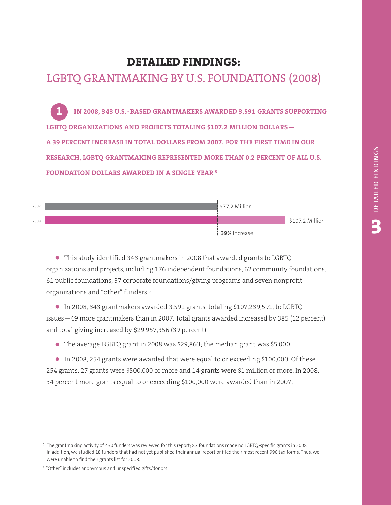# **DETAILED FINDINGS:**

# LGBTQ GRANTMAKING BY U.S. FOUNDATIONS (2008)

**IN 2008, 343 U.S.-BASED GRANTMAKERS AWARDED 3,591 GRANTS SUPPORTING LGBTQ ORGANIZATIONS AND PROJECTS TOTALING \$107.2 MILLION DOLLARS— A 39 PERCENT INCREASE IN TOTAL DOLLARS FROM 2007. FOR THE FIRST TIME IN OUR RESEARCH, LGBTQ GRANTMAKING REPRESENTED MORE THAN 0.2 PERCENT OF ALL U.S. FOUNDATION DOLLARS AWARDED IN A SINGLE YEAR <sup>5</sup> 1**<br>
IN 2008, 343 U.S.-BASED GRANTMAKERS AWARDED 3,591 GRANTS SUPPORTING<br>
STO ORGANIZATIONS AND PROJECTS TOTALING \$107.2 MILLION DOLLARS—<br>
9 PERCENT INCREASE IN TOTAL DOLLARS FROM 2007. FOR THE FIRST TIME IN OUR<br>
SEARCH, L



• This study identified <sup>343</sup> grantmakers in <sup>2008</sup> that awarded grants to LGBTQ organizations and projects, including 176 independent foundations, 62 community foundations, 61 public foundations, 37 corporate foundations/giving programs and seven nonprofit organizations and "other" funders. 6

• In 2008, <sup>343</sup> grantmakers awarded 3,591 grants, totaling \$107,239,591, to LGBTQ issues—49 more grantmakers than in 2007. Total grants awarded increased by 385 (12 percent) and total giving increased by \$29,957,356 (39 percent).

• The average LGBTQ grant in <sup>2008</sup> was \$29,863; the median grant was \$5,000.

• In 2008, <sup>254</sup> grants were awarded that were equal to or exceeding \$100,000. Of these 254 grants, 27 grants were \$500,000 or more and 14 grants were \$1 million or more. In 2008, 34 percent more grants equal to or exceeding \$100,000 were awarded than in 2007.

<sup>5</sup> The grantmaking activity of 430 funders was reviewed for this report; 87 foundations made no LGBTQ-specific grants in 2008. In addition, we studied 18 funders that had not yet published their annual report or filed their most recent 990 tax forms. Thus, we were unable to find their grants list for 2008.

<sup>6</sup> "Other" includes anonymous and unspecified gifts/donors.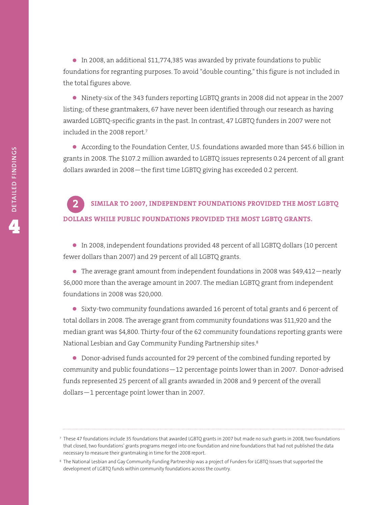• In 2008, an additional \$11,774,385 was awarded by private foundations to public foundations for regranting purposes. To avoid "double counting," this figure is not included in the total figures above.

• Ninety-six of the <sup>343</sup> funders reporting LGBTQ grants in <sup>2008</sup> did not appear in the <sup>2007</sup> listing; of these grantmakers, 67 have never been identified through our research as having awarded LGBTQ-specific grants in the past. In contrast, 47 LGBTQ funders in 2007 were not included in the 2008 report. 7

• According to the Foundation Center, U.S. foundations awarded more than \$45.6 billion in grants in 2008. The \$107.2 million awarded to LGBTQ issues represents 0.24 percent of all grant dollars awarded in 2008—the first time LGBTQ giving has exceeded 0.2 percent.

## **SIMILAR TO 2007, INDEPENDENT FOUNDATIONS PROVIDED THE MOST LGBTQ DOLLARS WHILE PUBLIC FOUNDATIONS PROVIDED THE MOST LGBTQ GRANTS. 2**

• In 2008, independent foundations provided <sup>48</sup> percent of all LGBTQ dollars (10 percent fewer dollars than 2007) and 29 percent of all LGBTQ grants.

• The average grant amount from independent foundations in <sup>2008</sup> was \$49,412—nearly \$6,000 more than the average amount in 2007. The median LGBTQ grant from independent foundations in 2008 was \$20,000.

• Sixty-two community foundations awarded <sup>16</sup> percent of total grants and <sup>6</sup> percent of total dollars in 2008. The average grant from community foundations was \$11,920 and the median grant was \$4,800. Thirty-four of the 62 community foundations reporting grants were National Lesbian and Gay Community Funding Partnership sites. 8

• Donor-advised funds accounted for <sup>29</sup> percent of the combined funding reported by community and public foundations—12 percentage points lower than in 2007. Donor-advised funds represented 25 percent of all grants awarded in 2008 and 9 percent of the overall dollars—1 percentage point lower than in 2007.

<sup>7</sup> These 47 foundations include 35 foundations that awarded LGBTQ grants in 2007 but made no such grants in 2008, two foundations that closed, two foundations' grants programs merged into one foundation and nine foundations that had not published the data necessary to measure their grantmaking in time for the 2008 report.

<sup>8</sup> The National Lesbian and Gay Community Funding Partnership was a project of Funders for LGBTQ Issues that supported the development of LGBTQ funds within community foundations across the country.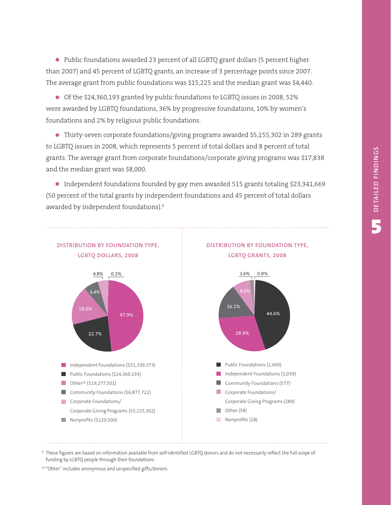• Public foundations awarded <sup>23</sup> percent of all LGBTQ grant dollars (5 percent higher than 2007) and 45 percent of LGBTQ grants, an increase of 3 percentage points since 2007. The average grant from public foundations was \$15,225 and the median grant was \$4,440.

• Of the \$24,360,193 granted by public foundations to LGBTQ issues in 2008, 52% were awarded by LGBTQ foundations, 36% by progressive foundations, 10% by women's foundations and 2% by religious public foundations.

• Thirty-seven corporate foundations/giving programs awarded \$5,155,302 in <sup>289</sup> grants to LGBTQ issues in 2008, which represents 5 percent of total dollars and 8 percent of total grants. The average grant from corporate foundations/corporate giving programs was \$17,838 and the median grant was \$8,000.

• Independent foundations founded by gay men awarded <sup>515</sup> grants totaling \$23,341,669 (50 percent of the total grants by independent foundations and 45 percent of total dollars awarded by independent foundations). 9



<sup>9</sup> These figures are based on information available from self-identified LGBTQ donors and do not necessarily reflect the full scope of funding by LGBTQ people through their foundations.

<sup>10</sup> "Other" includes anonymous and unspecified gifts/donors.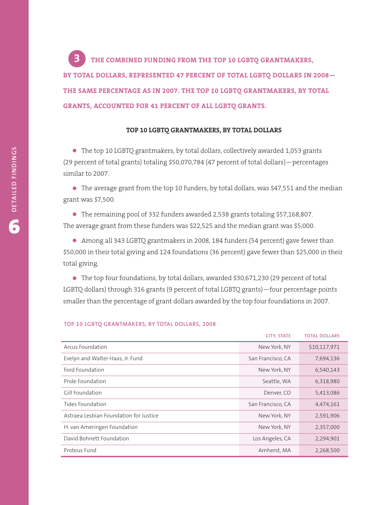**THE COMBINED FUNDING FROM THE TOP 10 LGBTQ GRANTMAKERS, BY TOTAL DOLLARS, REPRESENTED 47 PERCENT OF TOTAL LGBTQ DOLLARS IN 2008— THE SAME PERCENTAGE AS IN 2007. THE TOP 10 LGBTQ GRANTMAKERS, BY TOTAL GRANTS, ACCOUNTED FOR 41 PERCENT OF ALL LGBTQ GRANTS. 3**

## **TOP 10 LGBTQ GRANTMAKERS, BY TOTAL DOLLARS**

• The top <sup>10</sup> LGBTQ grantmakers, by total dollars, collectively awarded 1,053 grants (29 percent of total grants) totaling \$50,070,784 (47 percent of total dollars)—percentages similar to 2007.

• The average grant from the top <sup>10</sup> funders, by total dollars, was \$47,551 and the median grant was \$7,500.

• The remaining pool of <sup>332</sup> funders awarded 2,538 grants totaling \$57,168,807. The average grant from these funders was \$22,525 and the median grant was \$5,000.

• Among all <sup>343</sup> LGBTQ grantmakers in 2008, <sup>184</sup> funders (54 percent) gave fewer than \$50,000 in their total giving and 124 foundations (36 percent) gave fewer than \$25,000 in their total giving.

• The top four foundations, by total dollars, awarded \$30,671,230 (29 percent of total LGBTQ dollars) through 316 grants (9 percent of total LGBTQ grants)—four percentage points smaller than the percentage of grant dollars awarded by the top four foundations in 2007.

|                                        | <b>CITY, STATE</b> | <b>TOTAL DOLLARS</b> |
|----------------------------------------|--------------------|----------------------|
| Arcus Foundation                       | New York, NY       | \$10,117,971         |
| Evelyn and Walter Haas, Jr. Fund       | San Francisco, CA  | 7,694,136            |
| Ford Foundation                        | New York, NY       | 6,540,143            |
| Pride Foundation                       | Seattle, WA        | 6,318,980            |
| Gill Foundation                        | Denver, CO         | 5,413,086            |
| Tides Foundation                       | San Francisco, CA  | 4,474,161            |
| Astraea Lesbian Foundation for Justice | New York, NY       | 2,591,906            |
| H. van Ameringen Foundation            | New York, NY       | 2,357,000            |
| David Bohnett Foundation               | Los Angeles, CA    | 2,294,901            |
| Proteus Fund                           | Amherst, MA        | 2,268,500            |

#### **TOP 10 LGBTQ GRANTMAKERS, BY TOTAL DOLLARS, 2008**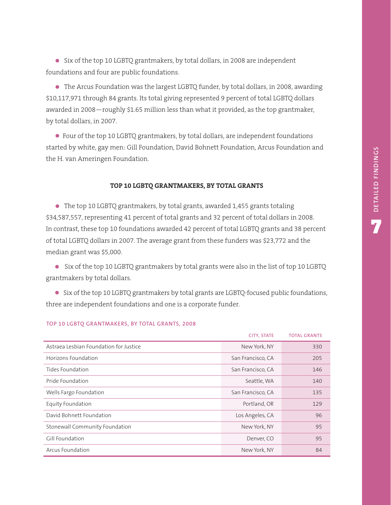• Six of the top <sup>10</sup> LGBTQ grantmakers, by total dollars, in <sup>2008</sup> are independent foundations and four are public foundations.

• The Arcus Foundation was the largest LGBTQ funder, by total dollars, in 2008, awarding \$10,117,971 through 84 grants. Its total giving represented 9 percent of total LGBTQ dollars awarded in 2008—roughly \$1.65 million less than what it provided, as the top grantmaker, by total dollars, in 2007.

• Four of the top <sup>10</sup> LGBTQ grantmakers, by total dollars, are independent foundations started by white, gay men: Gill Foundation, David Bohnett Foundation, Arcus Foundation and the H. van Ameringen Foundation.

## **TOP 10 LGBTQ GRANTMAKERS, BY TOTAL GRANTS**

• The top <sup>10</sup> LGBTQ grantmakers, by total grants, awarded 1,455 grants totaling \$34,587,557, representing 41 percent of total grants and 32 percent of total dollars in 2008. In contrast, these top 10 foundations awarded 42 percent of total LGBTQ grants and 38 percent of total LGBTQ dollars in 2007. The average grant from these funders was \$23,772 and the median grant was \$5,000.

• Six of the top <sup>10</sup> LGBTQ grantmakers by total grants were also in the list of top <sup>10</sup> LGBTQ grantmakers by total dollars.

• Six of the top <sup>10</sup> LGBTQ grantmakers by total grants are LGBTQ-focused public foundations, three are independent foundations and one is a corporate funder.

|                                        | <b>CITY, STATE</b> | <b>TOTAL GRANTS</b> |
|----------------------------------------|--------------------|---------------------|
| Astraea Lesbian Foundation for Justice | New York, NY       | 330                 |
| Horizons Foundation                    | San Francisco, CA  | 205                 |
| Tides Foundation                       | San Francisco, CA  | 146                 |
| Pride Foundation                       | Seattle, WA        | 140                 |
| Wells Fargo Foundation                 | San Francisco, CA  | 135                 |
| Equity Foundation                      | Portland, OR       | 129                 |
| David Bohnett Foundation               | Los Angeles, CA    | 96                  |
| Stonewall Community Foundation         | New York, NY       | 95                  |
| Gill Foundation                        | Denver, CO         | 95                  |
| Arcus Foundation                       | New York, NY       | 84                  |

#### **TOP 10 LGBTQ GRANTMAKERS, BY TOTAL GRANTS, 2008**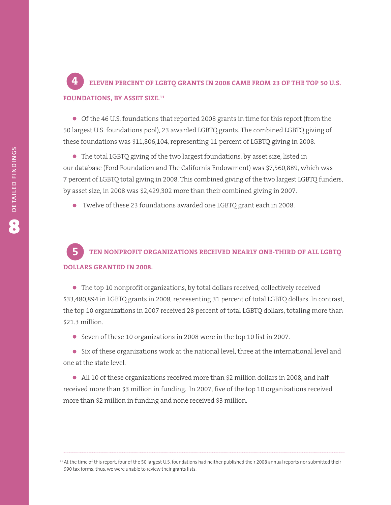## **ELEVEN PERCENT OF LGBTQ GRANTS IN 2008 CAME FROM 23 OF THE TOP 50 U.S. FOUNDATIONS, BY ASSET SIZE. 11 4**

• Of the <sup>46</sup> U.S. foundations that reported <sup>2008</sup> grants in time for this report (from the 50 largest U.S. foundations pool), 23 awarded LGBTQ grants. The combined LGBTQ giving of these foundations was \$11,806,104, representing 11 percent of LGBTQ giving in 2008.

• The total LGBTQ giving of the two largest foundations, by asset size, listed in our database (Ford Foundation and The California Endowment) was \$7,560,889, which was 7 percent of LGBTQ total giving in 2008. This combined giving of the two largest LGBTQ funders, by asset size, in 2008 was \$2,429,302 more than their combined giving in 2007.

• Twelve of these <sup>23</sup> foundations awarded one LGBTQ grant each in 2008.

# **TEN NONPROFIT ORGANIZATIONS RECEIVED NEARLY ONE-THIRD OF ALL LGBTQ DOLLARS GRANTED IN 2008. 5**

• The top <sup>10</sup> nonprofit organizations, by total dollars received, collectively received \$33,480,894 in LGBTQ grants in 2008, representing 31 percent of total LGBTQ dollars. In contrast, the top 10 organizations in 2007 received 28 percent of total LGBTQ dollars, totaling more than \$21.3 million.

• Seven of these <sup>10</sup> organizations in <sup>2008</sup> were in the top <sup>10</sup> list in 2007.

• Six of these organizations work at the national level, three at the international level and one at the state level.

• All <sup>10</sup> of these organizations received more than \$2 million dollars in 2008, and half received more than \$3 million in funding. In 2007, five of the top 10 organizations received more than \$2 million in funding and none received \$3 million.

11 At the time of this report, four of the 50 largest U.S. foundations had neither published their 2008 annual reports nor submitted their 990 tax forms; thus, we were unable to review their grants lists.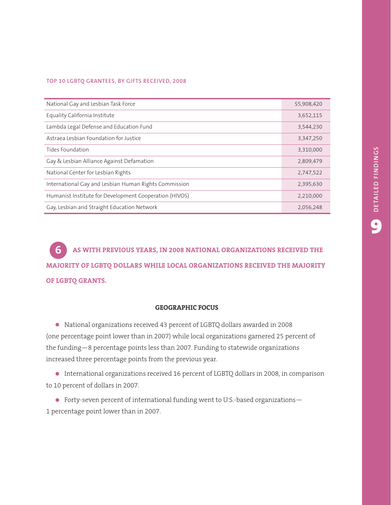#### **TOP 10 LGBTQ GRANTEES, BY GIFTS RECEIVED, 2008**

| National Gay and Lesbian Task Force                    | \$5,908,420 |
|--------------------------------------------------------|-------------|
| Equality California Institute                          | 3,652,115   |
| Lambda Legal Defense and Education Fund                | 3,544,230   |
| Astraea Lesbian Foundation for Justice                 | 3,347,250   |
| Tides Foundation                                       | 3,310,000   |
| Gay & Lesbian Alliance Against Defamation              | 2,809,479   |
| National Center for Lesbian Rights                     | 2,747,522   |
| International Gay and Lesbian Human Rights Commission  | 2,395,630   |
| Humanist Institute for Development Cooperation (HIVOS) | 2,210,000   |
| Gay, Lesbian and Straight Education Network            | 2,056,248   |

**AS WITH PREVIOUS YEARS, IN 2008 NATIONAL ORGANIZATIONS RECEIVED THE MAJORITY OF LGBTQ DOLLARS WHILE LOCAL ORGANIZATIONS RECEIVED THE MAJORITY OF LGBTQ GRANTS. 6**

### **GEOGRAPHIC FOCUS**

• National organizations received <sup>43</sup> percent of LGBTQ dollars awarded in <sup>2008</sup> (one percentage point lower than in 2007) while local organizations garnered 25 percent of the funding—8 percentage points less than 2007. Funding to statewide organizations increased three percentage points from the previous year.

• International organizations received <sup>16</sup> percent of LGBTQ dollars in 2008, in comparison to 10 percent of dollars in 2007.

• Forty-seven percent of international funding went to U.S.-based organizations— 1 percentage point lower than in 2007.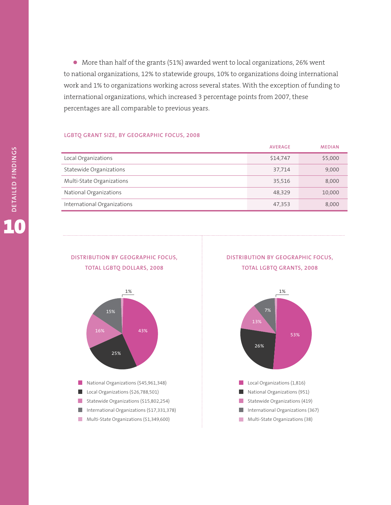• More than half of the grants (51%) awarded went to local organizations, 26% went to national organizations, 12% to statewide groups, 10% to organizations doing international work and 1% to organizations working across several states. With the exception of funding to international organizations, which increased 3 percentage points from 2007, these percentages are all comparable to previous years.

#### **LGBTQ GRANT SIZE, BY GEOGRAPHIC FOCUS, 2008**

|                             | <b>AVERAGE</b> | <b>MEDIAN</b> |
|-----------------------------|----------------|---------------|
| Local Organizations         | \$14,747       | \$5,000       |
| Statewide Organizations     | 37,714         | 9,000         |
| Multi-State Organizations   | 35,516         | 8.000         |
| National Organizations      | 48.329         | 10,000        |
| International Organizations | 47,353         | 8,000         |

## **DISTRIBUTION BY GEOGRAPHIC FOCUS, TOTAL LGBTQ DOLLARS, 2008**



## **DISTRIBUTION BY GEOGRAPHIC FOCUS, TOTAL LGBTQ GRANTS, 2008**

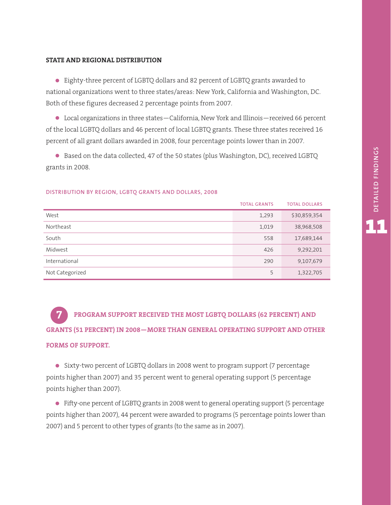#### **STATE AND REGIONAL DISTRIBUTION**

• Eighty-three percent of LGBTQ dollars and <sup>82</sup> percent of LGBTQ grants awarded to national organizations went to three states/areas: New York, California and Washington, DC. Both of these figures decreased 2 percentage points from 2007.

• Local organizations in three states—California, New York and Illinois—received <sup>66</sup> percent of the local LGBTQ dollars and 46 percent of local LGBTQ grants. These three states received 16 percent of all grant dollars awarded in 2008, four percentage points lower than in 2007.

• Based on the data collected, <sup>47</sup> of the <sup>50</sup> states (plus Washington, DC), received LGBTQ grants in 2008.

|                 | <b>TOTAL GRANTS</b> | <b>TOTAL DOLLARS</b> |
|-----------------|---------------------|----------------------|
| West            | 1,293               | \$30,859,354         |
| Northeast       | 1,019               | 38,968,508           |
| South           | 558                 | 17,689,144           |
| Midwest         | 426                 | 9,292,201            |
| International   | 290                 | 9,107,679            |
| Not Categorized | 5                   | 1,322,705            |

#### **DISTRIBUTION BY REGION, LGBTQ GRANTS AND DOLLARS, 2008**

**PROGRAM SUPPORT RECEIVED THE MOST LGBTQ DOLLARS (62 PERCENT) AND GRANTS (51 PERCENT) IN 2008—MORE THAN GENERAL OPERATING SUPPORT AND OTHER FORMS OF SUPPORT. 7**

• Sixty-two percent of LGBTQ dollars in <sup>2008</sup> went to program support (7 percentage points higher than 2007) and 35 percent went to general operating support (5 percentage points higher than 2007).

• Fifty-one percent of LGBTQ grants in <sup>2008</sup> went to general operating support (5 percentage points higher than 2007), 44 percent were awarded to programs (5 percentage points lower than 2007) and 5 percent to other types of grants (to the same as in 2007).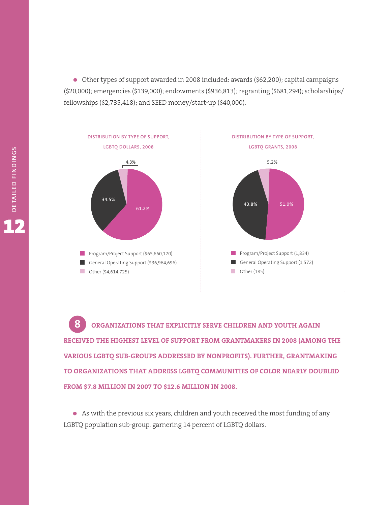• Other types of support awarded in <sup>2008</sup> included: awards (\$62,200); capital campaigns (\$20,000); emergencies (\$139,000); endowments (\$936,813); regranting (\$681,294); scholarships/ fellowships (\$2,735,418); and SEED money/start-up (\$40,000).



**ORGANIZATIONS THAT EXPLICITLY SERVE CHILDREN AND YOUTH AGAIN RECEIVED THE HIGHEST LEVEL OF SUPPORT FROM GRANTMAKERS IN 2008 (AMONG THE VARIOUS LGBTQ SUB-GROUPS ADDRESSED BY NONPROFITS). FURTHER, GRANTMAKING TO ORGANIZATIONS THAT ADDRESS LGBTQ COMMUNITIES OF COLOR NEARLY DOUBLED FROM \$7.8 MILLION IN 2007 TO \$12.6 MILLION IN 2008. 8**

• As with the previous six years, children and youth received the most funding of any LGBTQ population sub-group, garnering 14 percent of LGBTQ dollars.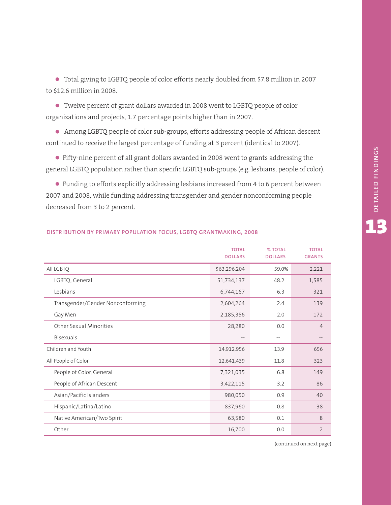• Total giving to LGBTQ people of color efforts nearly doubled from \$7.8 million in <sup>2007</sup> to \$12.6 million in 2008.

• Twelve percent of grant dollars awarded in <sup>2008</sup> went to LGBTQ people of color organizations and projects, 1.7 percentage points higher than in 2007.

• Among LGBTQ people of color sub-groups, efforts addressing people of African descent continued to receive the largest percentage of funding at 3 percent (identical to 2007).

• Fifty-nine percent of all grant dollars awarded in <sup>2008</sup> went to grants addressing the general LGBTQ population rather than specific LGBTQ sub-groups (e.g. lesbians, people of color).

• Funding to efforts explicitly addressing lesbians increased from <sup>4</sup> to <sup>6</sup> percent between 2007 and 2008, while funding addressing transgender and gender nonconforming people decreased from 3 to 2 percent.

|                                  | <b>TOTAL</b><br><b>DOLLARS</b> | <b>% TOTAL</b><br><b>DOLLARS</b> | <b>TOTAL</b><br><b>GRANTS</b> |
|----------------------------------|--------------------------------|----------------------------------|-------------------------------|
| All LGBTQ                        | \$63,296,204                   | 59.0%                            | 2,221                         |
| LGBTQ, General                   | 51,734,137                     | 48.2                             | 1,585                         |
| Lesbians                         | 6,744,167                      | 6.3                              | 321                           |
| Transgender/Gender Nonconforming | 2,604,264                      | 2.4                              | 139                           |
| Gay Men                          | 2,185,356                      | 2.0                              | 172                           |
| Other Sexual Minorities          | 28,280                         | 0.0                              | $\overline{4}$                |
| <b>Bisexuals</b>                 |                                | $\overline{\phantom{m}}$         |                               |
| Children and Youth               | 14,912,956                     | 13.9                             | 656                           |
| All People of Color              | 12,641,439                     | 11.8                             | 323                           |
| People of Color, General         | 7,321,035                      | 6.8                              | 149                           |
| People of African Descent        | 3,422,115                      | 3.2                              | 86                            |
| Asian/Pacific Islanders          | 980,050                        | 0.9                              | 40                            |
| Hispanic/Latina/Latino           | 837,960                        | 0.8                              | 38                            |
| Native American/Two Spirit       | 63,580                         | 0.1                              | 8                             |
| Other                            | 16,700                         | 0.0                              | $\overline{2}$                |

### **DISTRIBUTION BY PRIMARY POPULATION FOCUS, LGBTQ GRANTMAKING, 2008**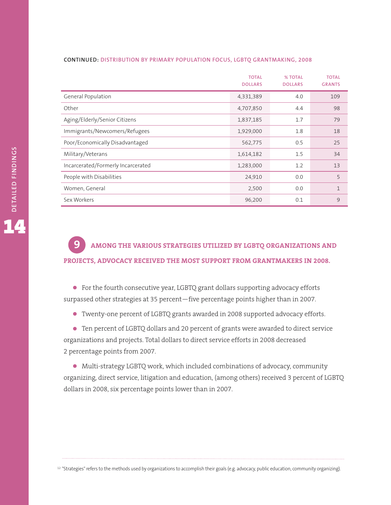#### **CONTINUED: DISTRIBUTION BY PRIMARY POPULATION FOCUS, LGBTQ GRANTMAKING, 2008**

|                                    | <b>TOTAL</b><br><b>DOLLARS</b> | % TOTAL<br><b>DOLLARS</b> | <b>TOTAL</b><br><b>GRANTS</b> |
|------------------------------------|--------------------------------|---------------------------|-------------------------------|
| General Population                 | 4,331,389                      | 4.0                       | 109                           |
| Other                              | 4,707,850                      | 4.4                       | 98                            |
| Aging/Elderly/Senior Citizens      | 1,837,185                      | 1.7                       | 79                            |
| Immigrants/Newcomers/Refugees      | 1,929,000                      | 1.8                       | 18                            |
| Poor/Economically Disadvantaged    | 562,775                        | 0.5                       | 25                            |
| Military/Veterans                  | 1,614,182                      | 1.5                       | 34                            |
| Incarcerated/Formerly Incarcerated | 1,283,000                      | 1.2                       | 13                            |
| People with Disabilities           | 24,910                         | 0.0                       | 5                             |
| Women, General                     | 2,500                          | 0.0                       | $\mathbf{1}$                  |
| Sex Workers                        | 96,200                         | 0.1                       | 9                             |

## **AMONG THE VARIOUS STRATEGIES UTILIZED BY LGBTQ ORGANIZATIONS AND PROJECTS, ADVOCACY RECEIVED THE MOST SUPPORT FROM GRANTMAKERS IN 2008. 9**

• For the fourth consecutive year, LGBTQ grant dollars supporting advocacy efforts surpassed other strategies at 35 percent—five percentage points higher than in 2007.

• Twenty-one percent of LGBTQ grants awarded in <sup>2008</sup> supported advocacy efforts.

• Ten percent of LGBTQ dollars and <sup>20</sup> percent of grants were awarded to direct service organizations and projects. Total dollars to direct service efforts in 2008 decreased 2 percentage points from 2007.

• Multi-strategy LGBTQ work, which included combinations of advocacy, community organizing, direct service, litigation and education, (among others) received 3 percent of LGBTQ dollars in 2008, six percentage points lower than in 2007.

<sup>12</sup> "Strategies" refers to the methods used by organizations to accomplish their goals (e.g. advocacy, public education, community organizing).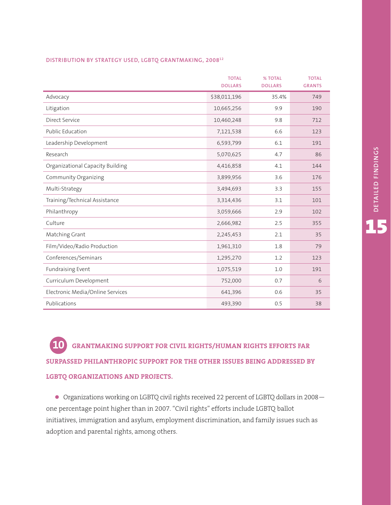### **DISTRIBUTION BY STRATEGY USED, LGBTQ GRANTMAKING, 200812**

|                                  | <b>TOTAL</b><br><b>DOLLARS</b> | % TOTAL<br><b>DOLLARS</b> | <b>TOTAL</b><br><b>GRANTS</b> |
|----------------------------------|--------------------------------|---------------------------|-------------------------------|
| Advocacy                         | \$38,011,196                   | 35.4%                     | 749                           |
| Litigation                       | 10,665,256                     | 9.9                       | 190                           |
| Direct Service                   | 10,460,248                     | 9.8                       | 712                           |
| Public Education                 | 7,121,538                      | 6.6                       | 123                           |
| Leadership Development           | 6,593,799                      | 6.1                       | 191                           |
| Research                         | 5,070,625                      | 4.7                       | 86                            |
| Organizational Capacity Building | 4,416,858                      | 4.1                       | 144                           |
| Community Organizing             | 3,899,956                      | 3.6                       | 176                           |
| Multi-Strategy                   | 3,494,693                      | 3.3                       | 155                           |
| Training/Technical Assistance    | 3,314,436                      | 3.1                       | 101                           |
| Philanthropy                     | 3,059,666                      | 2.9                       | 102                           |
| Culture                          | 2,666,982                      | 2.5                       | 355                           |
| Matching Grant                   | 2,245,453                      | 2.1                       | 35                            |
| Film/Video/Radio Production      | 1,961,310                      | 1.8                       | 79                            |
| Conferences/Seminars             | 1,295,270                      | 1.2                       | 123                           |
| <b>Fundraising Event</b>         | 1,075,519                      | 1.0                       | 191                           |
| Curriculum Development           | 752,000                        | 0.7                       | 6                             |
| Electronic Media/Online Services | 641,396                        | 0.6                       | 35                            |
| Publications                     | 493,390                        | 0.5                       | 38                            |

**GRANTMAKING SUPPORT FOR CIVIL RIGHTS/HUMAN RIGHTS EFFORTS FAR SURPASSED PHILANTHROPIC SUPPORT FOR THE OTHER ISSUES BEING ADDRESSED BY LGBTQ ORGANIZATIONS AND PROJECTS. 10**

• Organizations working on LGBTQ civil rights received 22 percent of LGBTQ dollars in 2008one percentage point higher than in 2007. "Civil rights" efforts include LGBTQ ballot initiatives, immigration and asylum, employment discrimination, and family issues such as adoption and parental rights, among others.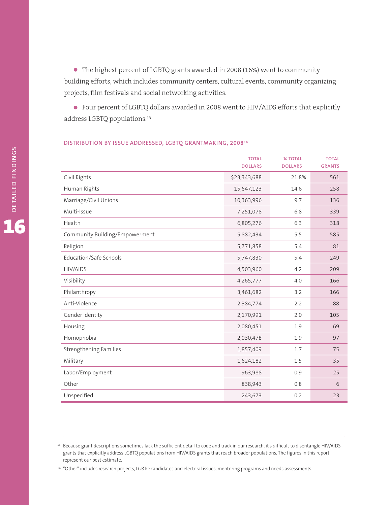• The highest percent of LGBTQ grants awarded in <sup>2008</sup> (16%) went to community building efforts, which includes community centers, cultural events, community organizing projects, film festivals and social networking activities.

• Four percent of LGBTQ dollars awarded in <sup>2008</sup> went to HIV/AIDS efforts that explicitly address LGBTQ populations. 13

# **TOTAL % TOTAL TOTAL DOLLARS DOLLARS GRANTS** Civil Rights \$23,343,688 21.8% 561 Human Rights 15,647,123 14.6 258 Marriage/Civil Unions 10,363,996 9.7 136 Multi-Issue 7,251,078 6.8 339 Health 6,805,276 6.3 318 Community Building/Empowerment 5,882,434 5.5 585 Religion 5,771,858 5.4 81 81 81 81 81 82 83 84 85,771,858 5.4 81 Education/Safe Schools 5,747,830 5.4 249 HIV/AIDS 4,503,960 4.2 209 Visibility 4,265,777 4.0 166 Philanthropy 3,461,682 3.2 166 Anti-Violence 2,384,774 2.2 88 Gender Identity 2,170,991 2.0 105 Housing 2,080,451 1.9 69 Homophobia 2,030,478 1.9 97 Strengthening Families 1,857,409 1.7 75 Military 1,624,182 1.5 35 Labor/Employment 963,988 0.9 25 Other 838,943 0.8 6 Unspecified 243,673 0.2 23

#### **DISTRIBUTION BY ISSUE ADDRESSED, LGBTQ GRANTMAKING, 200814**

<sup>14</sup> "Other" includes research projects, LGBTQ candidates and electoral issues, mentoring programs and needs assessments.

<sup>&</sup>lt;sup>13</sup> Because grant descriptions sometimes lack the sufficient detail to code and track in our research, it's difficult to disentangle HIV/AIDS grants that explicitly address LGBTQ populations from HIV/AIDS grants that reach broader populations. The figures in this report represent our best estimate.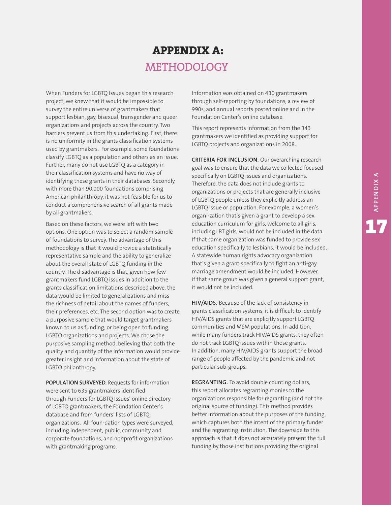# **APPENDIX A:** METHODOLOGY

When Funders for LGBTQ Issues began this research project, we knew that it would be impossible to survey the entire universe of grantmakers that support lesbian, gay, bisexual, transgender and queer organizations and projects across the country. Two barriers prevent us from this undertaking. First, there is no uniformity in the grants classification systems used by grantmakers. For example, some foundations classify LGBTQ as a population and others as an issue. Further, many do not use LGBTQ as a category in their classification systems and have no way of identifying these grants in their databases. Secondly, with more than 90,000 foundations comprising American philanthropy, it was not feasible for us to conduct a comprehensive search of all grants made by all grantmakers.

Based on these factors, we were left with two options. One option was to select a random sample of foundations to survey. The advantage of this methodology is that it would provide a statistically representative sample and the ability to generalize about the overall state of LGBTQ funding in the country. The disadvantage is that, given how few grantmakers fund LGBTQ issues in addition to the grants classification limitations described above, the data would be limited to generalizations and miss the richness of detail about the names of funders, their preferences, etc. The second option was to create a purposive sample that would target grantmakers known to us as funding, or being open to funding, LGBTQ organizations and projects. We chose the purposive sampling method, believing that both the quality and quantity of the information would provide greater insight and information about the state of LGBTQ philanthropy.

**POPULATION SURVEYED.** Requests for information were sent to 635 grantmakers identified through Funders for LGBTQ Issues' online directory of LGBTQ grantmakers, the Foundation Center's database and from funders' lists of LGBTQ organizations. All foun-dation types were surveyed, including independent, public, community and corporate foundations, and nonprofit organizations with grantmaking programs.

Information was obtained on 430 grantmakers through self-reporting by foundations, a review of 990s, and annual reports posted online and in the Foundation Center's online database.

This report represents information from the 343 grantmakers we identified as providing support for LGBTQ projects and organizations in 2008.

**CRITERIA FOR INCLUSION.** Our overarching research goal was to ensure that the data we collected focused specifically on LGBTQ issues and organizations. Therefore, the data does not include grants to organizations or projects that are generally inclusive of LGBTQ people unless they explicitly address an LGBTQ issue or population. For example, a women's organi-zation that's given a grant to develop a sex education curriculum for girls, welcome to all girls, including LBT girls, would not be included in the data. If that same organization was funded to provide sex education specifically to lesbians, it would be included. A statewide human rights advocacy organization that's given a grant specifically to fight an anti-gay marriage amendment would be included. However, if that same group was given a general support grant, it would not be included.

**HIV/AIDS.** Because of the lack of consistency in grants classification systems, it is difficult to identify HIV/AIDS grants that are explicitly support LGBTQ communities and MSM populations. In addition, while many funders track HIV/AIDS grants, they often do not track LGBTQ issues within those grants. In addition, many HIV/AIDS grants support the broad range of people affected by the pandemic and not particular sub-groups.

**REGRANTING.** To avoid double counting dollars, this report allocates regranting monies to the organizations responsible for regranting (and not the original source of funding). This method provides better information about the purposes of the funding, which captures both the intent of the primary funder and the regranting institution. The downside to this approach is that it does not accurately present the full funding by those institutions providing the original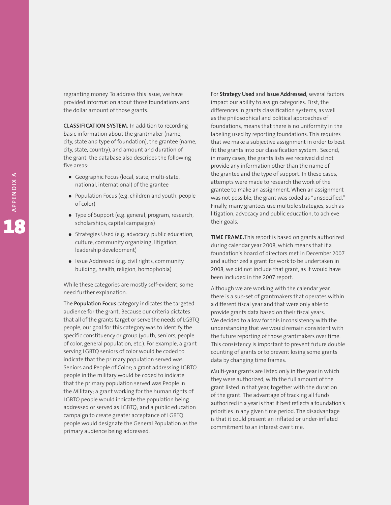regranting money. To address this issue, we have provided information about those foundations and the dollar amount of those grants.

**CLASSIFICATION SYSTEM.** In addition to recording basic information about the grantmaker (name, city, state and type of foundation), the grantee (name, city, state, country), and amount and duration of the grant, the database also describes the following five areas:

- Geographic Focus (local, state, multi-state, national, international) of the grantee
- Population Focus (e.g. children and youth, people of color)
- Type of Support (e.g. general, program, research, scholarships, capital campaigns)
- Strategies Used (e.g. advocacy, public education, culture, community organizing, litigation, leadership development)
- Issue Addressed (e.g. civil rights, community building, health, religion, homophobia)

While these categories are mostly self-evident, some need further explanation.

The **Population Focus** category indicates the targeted audience for the grant. Because our criteria dictates that all of the grants target or serve the needs of LGBTQ people, our goal for this category was to identify the specific constituency or group (youth, seniors, people of color, general population, etc.). For example, a grant serving LGBTQ seniors of color would be coded to indicate that the primary population served was Seniors and People of Color; a grant addressing LGBTQ people in the military would be coded to indicate that the primary population served was People in the Military; a grant working for the human rights of LGBTQ people would indicate the population being addressed or served as LGBTQ; and a public education campaign to create greater acceptance of LGBTQ people would designate the General Population as the primary audience being addressed.

For **Strategy Used** and **Issue Addressed**, several factors impact our ability to assign categories. First, the differences in grants classification systems, as well as the philosophical and political approaches of foundations, means that there is no uniformity in the labeling used by reporting foundations. This requires that we make a subjective assignment in order to best fit the grants into our classification system. Second, in many cases, the grants lists we received did not provide any information other than the name of the grantee and the type of support. In these cases, attempts were made to research the work of the grantee to make an assignment. When an assignment was not possible, the grant was coded as "unspecified." Finally, many grantees use multiple strategies, such as litigation, advocacy and public education, to achieve their goals.

**TIME FRAME.**This report is based on grants authorized during calendar year 2008, which means that if a foundation's board of directors met in December 2007 and authorized a grant for work to be undertaken in 2008, we did not include that grant, as it would have been included in the 2007 report.

Although we are working with the calendar year, there is a sub-set of grantmakers that operates within a different fiscal year and that were only able to provide grants data based on their fiscal years. We decided to allow for this inconsistency with the understanding that we would remain consistent with the future reporting of those grantmakers over time. This consistency is important to prevent future double counting of grants or to prevent losing some grants data by changing time frames.

Multi-year grants are listed only in the year in which they were authorized, with the full amount of the grant listed in that year, together with the duration of the grant. The advantage of tracking all funds authorized in a year is that it best reflects a foundation's priorities in any given time period. The disadvantage is that it could present an inflated or under-inflated commitment to an interest over time.

**A**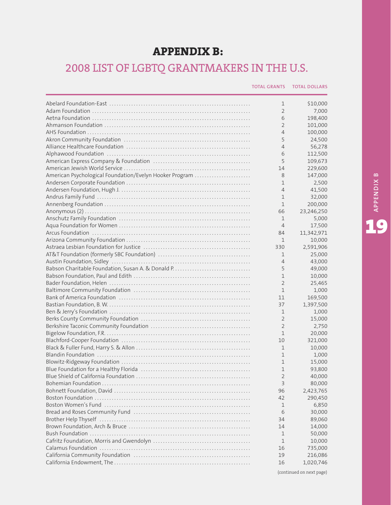# **APPENDIX B:**

# 2008 LIST OF LGBTQ GRANTMAKERS IN THE U.S.

| <b>TOTAL GRANTS  TOTAL DOLLARS</b> |  |
|------------------------------------|--|
|                                    |  |

|                                                         | 1              | \$10,000   |
|---------------------------------------------------------|----------------|------------|
|                                                         | $\overline{2}$ | 7,000      |
|                                                         | 6              | 198,400    |
|                                                         | 2              | 101,000    |
|                                                         | $\overline{4}$ | 100,000    |
|                                                         | 5              | 24,500     |
|                                                         | $\overline{4}$ | 56,278     |
|                                                         | 6              | 112,500    |
|                                                         | 5              | 109,673    |
|                                                         | 14             | 229,600    |
| American Psychological Foundation/Evelyn Hooker Program | 8              | 147,000    |
|                                                         | 1              | 2,500      |
|                                                         | $\overline{4}$ | 41,500     |
|                                                         | 1              | 32,000     |
|                                                         | 1              | 200,000    |
|                                                         | 66             | 23,246,250 |
|                                                         | 1              | 5,000      |
|                                                         | $\overline{4}$ | 17,500     |
|                                                         | 84             | 11,342,971 |
|                                                         | 1              | 10,000     |
|                                                         | 330            | 2,591,906  |
|                                                         | 1              | 25,000     |
|                                                         | $\overline{4}$ | 43,000     |
|                                                         | 5              | 49,000     |
|                                                         | $\mathbf 1$    | 10,000     |
|                                                         | $\overline{2}$ | 25,465     |
|                                                         | $\mathbf{1}$   | 1,000      |
|                                                         | 11             | 169,500    |
|                                                         | 37             | 1,397,500  |
|                                                         | 1              | 1,000      |
|                                                         | $\overline{2}$ | 15,000     |
|                                                         | $\overline{2}$ |            |
|                                                         |                | 2,750      |
|                                                         | 1              | 20,000     |
|                                                         | 10             | 321,000    |
|                                                         | 1              | 10,000     |
|                                                         | $\mathbf 1$    | 1,000      |
|                                                         | $\mathbf 1$    | 15,000     |
|                                                         | 1              | 93,800     |
|                                                         | $\overline{2}$ | 40,000     |
|                                                         | 3              | 80,000     |
|                                                         | 96             | 2,423,765  |
|                                                         | 42             | 290,450    |
|                                                         | 1              | 6,850      |
|                                                         | 6              | 30,000     |
|                                                         | 34             | 89,060     |
|                                                         | 14             | 14,000     |
|                                                         | $\mathbf{1}$   | 50,000     |
|                                                         | 1              | 10,000     |
|                                                         | 16             | 735,000    |
|                                                         | 19             | 216,086    |
|                                                         | 16             | 1,020,746  |
|                                                         |                |            |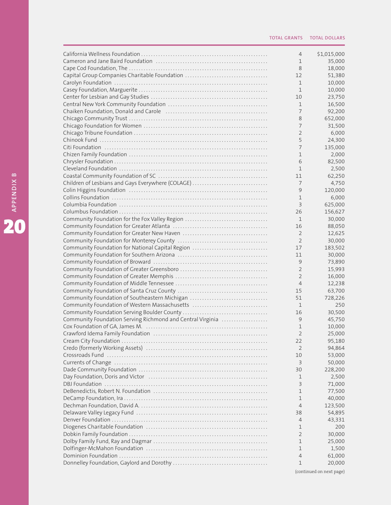|                                                            | $\overline{4}$ | \$1,015,000 |
|------------------------------------------------------------|----------------|-------------|
|                                                            | 1              | 35,000      |
|                                                            | 8              | 18,000      |
| Capital Group Companies Charitable Foundation              | 12             | 51,380      |
|                                                            | $\mathbf 1$    | 10,000      |
|                                                            | $\mathbf{1}$   | 10,000      |
|                                                            | 10             | 23,750      |
|                                                            | 1              |             |
|                                                            |                | 16,500      |
|                                                            | 7              | 92,200      |
|                                                            | 8              | 652,000     |
|                                                            | 7              | 31,500      |
|                                                            | $\overline{2}$ | 6,000       |
|                                                            | 5              | 24,300      |
|                                                            | $\overline{7}$ | 135,000     |
|                                                            | 1              | 2,000       |
|                                                            | 6              | 82,500      |
|                                                            |                |             |
|                                                            | 1              | 2,500       |
|                                                            | 11             | 62,250      |
| Children of Lesbians and Gays Everywhere (COLAGE)          | 7              | 4,750       |
|                                                            | 9              | 120,000     |
|                                                            | $\mathbf{1}$   | 6,000       |
|                                                            | 3              | 625,000     |
|                                                            | 26             | 156,627     |
| Community Foundation for the Fox Valley Region             | 1              | 30,000      |
|                                                            |                |             |
|                                                            | 16             | 88,050      |
|                                                            | $\overline{2}$ | 12,625      |
|                                                            | $\overline{2}$ | 30,000      |
| Community Foundation for National Capital Region           | 17             | 183,502     |
|                                                            | 11             | 30,000      |
|                                                            | 9              | 73,890      |
|                                                            | $\overline{2}$ | 15,993      |
|                                                            | $\overline{2}$ | 16,000      |
|                                                            | $\overline{4}$ | 12,238      |
|                                                            | 15             | 63,700      |
|                                                            |                |             |
| Community Foundation of Southeastern Michigan              | 51             | 728,226     |
|                                                            | 1              | 250         |
|                                                            | 16             | 30,500      |
| Community Foundation Serving Richmond and Central Virginia | 9              | 45,750      |
|                                                            | 1              | 10,000      |
|                                                            | $\mathcal{P}$  | 25,000      |
|                                                            | 22             | 95,180      |
|                                                            | 2              | 94,864      |
|                                                            | 10             | 53,000      |
|                                                            | 3              | 50,000      |
|                                                            |                |             |
|                                                            | 30             | 228,200     |
|                                                            | 1              | 2,500       |
|                                                            | 3              | 71,000      |
|                                                            | 1              | 77,500      |
|                                                            | 1              | 40,000      |
|                                                            | 4              | 123,500     |
|                                                            | 38             | 54,895      |
|                                                            | 4              | 43,331      |
|                                                            | 1              | 200         |
|                                                            |                |             |
|                                                            | 2              | 30,000      |
|                                                            | 1              | 25,000      |
|                                                            | 1              | 1,500       |
|                                                            | 4              | 61,000      |
|                                                            | 1              | 20,000      |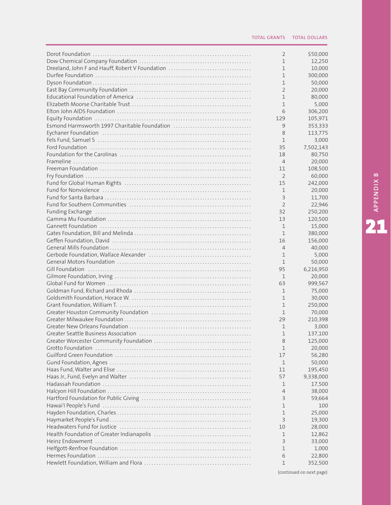|                                                 | 2              | \$50,000  |
|-------------------------------------------------|----------------|-----------|
|                                                 | $\mathbf 1$    | 12,250    |
| Dreeland, John F and Hauff, Robert V Foundation | 1              | 10,000    |
|                                                 | 1              | 300,000   |
|                                                 | 1              | 50,000    |
|                                                 | 2              |           |
|                                                 |                | 20,000    |
|                                                 | 1              | 80,000    |
|                                                 | $\mathbf{1}$   | 5,000     |
|                                                 | 6              | 306,200   |
|                                                 | 129            | 105,971   |
| Esmond Harmsworth 1997 Charitable Foundation    | 9              | 353,333   |
|                                                 | 8              | 113,775   |
|                                                 | $\mathbf 1$    | 3,000     |
|                                                 | 35             | 7,502,143 |
|                                                 | 18             | 80,750    |
|                                                 | $\overline{4}$ | 20,000    |
|                                                 | 11             | 108,500   |
|                                                 | 2              | 60,000    |
|                                                 | 15             | 242,000   |
|                                                 | $\mathbf 1$    | 20,000    |
|                                                 | 3              | 11,700    |
|                                                 | 2              |           |
|                                                 |                | 22,946    |
|                                                 | 32             | 250,200   |
|                                                 | 13             | 120,500   |
|                                                 | 1              | 15,000    |
|                                                 | $\mathbf 1$    | 380,000   |
|                                                 | 16             | 156,000   |
|                                                 | $\overline{4}$ | 40,000    |
|                                                 | $\mathbf 1$    | 5,000     |
|                                                 | $\mathbf 1$    | 50,000    |
|                                                 | 95             | 6,216,950 |
|                                                 | 1              | 20,000    |
|                                                 | 63             | 999,567   |
|                                                 | $\mathbf 1$    | 75,000    |
|                                                 | $\mathbf{1}$   | 30,000    |
|                                                 | $\mathbf{1}$   | 250,000   |
|                                                 | $\mathbf 1$    | 70,000    |
|                                                 | 29             | 210,398   |
|                                                 |                |           |
|                                                 | $\mathbf 1$    | 3,000     |
|                                                 | 1              | 137,100   |
|                                                 | 8              | 125,000   |
|                                                 | 1              | 20,000    |
|                                                 | 17             | 56,280    |
|                                                 | $\mathbf 1$    | 50,000    |
|                                                 | 11             | 195,450   |
|                                                 | 57             | 9,338,000 |
|                                                 | 1              | 17,500    |
|                                                 | 4              | 38,000    |
|                                                 | 3              | 59,664    |
|                                                 | 1              | 100       |
|                                                 | 1              | 25,000    |
|                                                 | 3              | 19,300    |
|                                                 | 10             | 28,000    |
|                                                 |                |           |
|                                                 | 1              | 12,862    |
|                                                 | 3              | 33,000    |
|                                                 | 1              | 1,000     |
|                                                 | 6              | 22,800    |
|                                                 | 1              | 352,500   |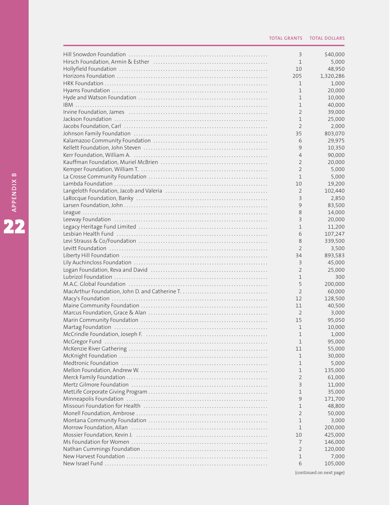| 3              | \$40,000  |
|----------------|-----------|
| $\mathbf 1$    | 5,000     |
| 10             | 48,950    |
| 205            | 1,320,286 |
| 1              | 1,000     |
| $\mathbf 1$    | 20,000    |
| 1              | 10,000    |
| 1              | 40,000    |
| $\overline{2}$ | 39,000    |
| 1              | 25,000    |
| $\overline{2}$ | 2,000     |
| 35             | 803,070   |
| 6              | 29,975    |
| 9              |           |
|                | 10,350    |
| $\overline{4}$ | 90,000    |
| 2              | 20,000    |
| $\overline{2}$ | 5,000     |
| 1              | 5,000     |
| 10             | 19,200    |
| $\overline{2}$ | 102,440   |
| 3              | 2,850     |
| 9              | 83,500    |
| 8              | 14,000    |
| 3              | 20,000    |
| 1              | 11,200    |
| 6              | 107,247   |
| 8              | 339,500   |
| $\overline{2}$ | 3,500     |
| 34             | 893,583   |
| 3              |           |
|                | 45,000    |
| $\overline{2}$ | 25,000    |
| 1              | 300       |
| 5              | 200,000   |
| $\overline{2}$ | 60,000    |
| 12             | 128,500   |
| 11             | 40,500    |
| 2              | 3,000     |
| 15             | 95,050    |
| $\mathbf 1$    | 10,000    |
| 1              | 1,000     |
| 1              | 95,000    |
| 11             | 55,000    |
| 1              | 30,000    |
| 1              | 5,000     |
| 1              | 135,000   |
| 2              | 61,000    |
| 3              | 11,000    |
|                |           |
| 1              | 35,000    |
| 9              | 171,700   |
| 1              | 48,800    |
| $\overline{2}$ | 50,000    |
| 1              | 3,000     |
| 1              | 200,000   |
| 10             | 425,000   |
| 7              | 146,000   |
| 2              | 120,000   |
| 1              | 7,000     |
| 6              | 105,000   |
|                |           |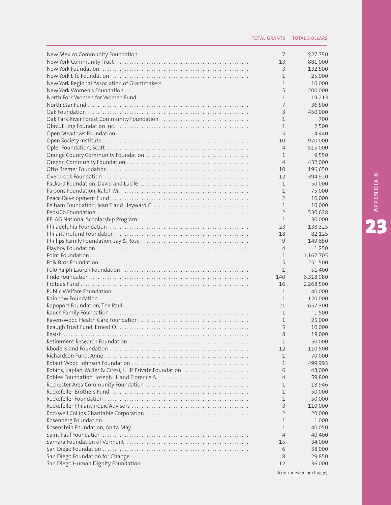|                                                            | 7              | \$27,750  |
|------------------------------------------------------------|----------------|-----------|
|                                                            | 13             | 881,000   |
|                                                            | 3              | 132,500   |
|                                                            | 1              | 25,000    |
|                                                            | 1              | 10,000    |
|                                                            | 5              | 200,000   |
|                                                            | 1              | 19,213    |
|                                                            | 7              | 36,500    |
|                                                            | 3              | 450,000   |
|                                                            | 1              | 700       |
|                                                            | 1              | 2,500     |
|                                                            | 5              | 4,440     |
|                                                            | 10             | 970,000   |
|                                                            | $\overline{4}$ | 515,000   |
|                                                            | 1              | 9,550     |
|                                                            | $\overline{4}$ | 432,000   |
|                                                            | 10             | 196,650   |
|                                                            |                |           |
|                                                            | 12             | 394,920   |
|                                                            | 1              | 50,000    |
|                                                            | 1              | 75,000    |
|                                                            | $\overline{2}$ | 10,000    |
|                                                            | 1              | 10,000    |
|                                                            | $\overline{2}$ | 530,628   |
|                                                            | 1              | 30,000    |
|                                                            | 23             | 138,325   |
|                                                            | 18             | 82,125    |
|                                                            | 9              | 149,650   |
|                                                            | $\overline{4}$ | 1,250     |
|                                                            | 1              | 1,162,705 |
|                                                            | 5              | 251,500   |
|                                                            | 1              | 51,400    |
|                                                            | 140            | 6,318,980 |
|                                                            | 16             | 2,268,500 |
|                                                            | 1              | 40,000    |
|                                                            | $\mathbf 1$    | 120,000   |
|                                                            | 21             | 657,300   |
|                                                            | 1              | 1,500     |
|                                                            | 1              | 25,000    |
|                                                            | 5              | 10,000    |
| $Resist$                                                   | 8              | 19,000    |
|                                                            | 1              | 50,000    |
|                                                            | 12             | 110,500   |
|                                                            | 1              | 70,000    |
|                                                            | 1              | 499,993   |
|                                                            | 6              | 43,000    |
| Robins, Kaplan, Miller & Ciresi, L.L.P. Private Foundation |                |           |
|                                                            | 4              | 59,800    |
|                                                            | 1              | 18,946    |
|                                                            | 1              | 50,000    |
|                                                            | 1              | 50,000    |
|                                                            | 3              | 110,000   |
|                                                            | 2              | 20,000    |
|                                                            | 1              | 1,000     |
|                                                            | 1              | 40,050    |
|                                                            | 4              | 40,400    |
|                                                            | 15             | 34,000    |
|                                                            | 6              | 38,000    |
|                                                            | 8              | 29,850    |
|                                                            | 12             | 36,000    |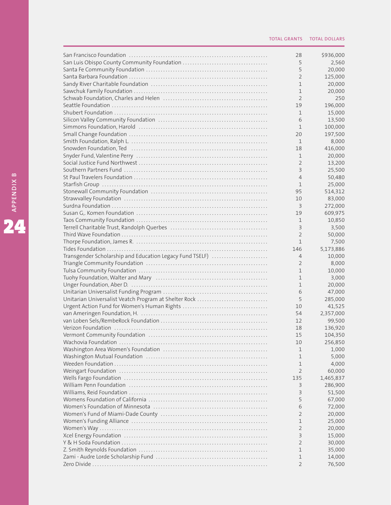|                                                                                                                 | 28             | \$936,000 |
|-----------------------------------------------------------------------------------------------------------------|----------------|-----------|
|                                                                                                                 | 5              | 2,560     |
|                                                                                                                 | 5              | 20,000    |
|                                                                                                                 | $\overline{2}$ | 125,000   |
|                                                                                                                 | 1              | 20,000    |
|                                                                                                                 | 1              | 20,000    |
|                                                                                                                 | $\overline{2}$ | 250       |
|                                                                                                                 | 19             | 196,000   |
|                                                                                                                 | 1              | 15,000    |
|                                                                                                                 | 6              | 13,500    |
|                                                                                                                 | 1              | 100,000   |
|                                                                                                                 | 20             | 197,500   |
|                                                                                                                 | 1              | 8,000     |
| Snowden Foundation, Ted (and the contract of the contract of the Snowden Foundation, Ted (and the contract of t | 18             | 416,000   |
|                                                                                                                 | 1              | 20,000    |
|                                                                                                                 | 2              | 13,200    |
|                                                                                                                 |                |           |
|                                                                                                                 | 3              | 25,500    |
|                                                                                                                 | $\overline{4}$ | 50,480    |
|                                                                                                                 | 1              | 25,000    |
|                                                                                                                 | 95             | 514,312   |
|                                                                                                                 | 10             | 83,000    |
|                                                                                                                 | 3              | 272,000   |
|                                                                                                                 | 19             | 609,975   |
|                                                                                                                 | 1              | 10,850    |
|                                                                                                                 | 3              | 3,500     |
|                                                                                                                 | $\overline{2}$ | 50,000    |
|                                                                                                                 | 1              | 7,500     |
|                                                                                                                 | 146            | 5,173,886 |
| Transgender Scholarship and Education Legacy Fund TSELF)                                                        | $\overline{4}$ | 10,000    |
|                                                                                                                 | $\overline{2}$ | 8,000     |
|                                                                                                                 | 1              | 10,000    |
|                                                                                                                 | 1              | 3,000     |
|                                                                                                                 | 1              | 20,000    |
|                                                                                                                 | 6              | 47,000    |
| Unitarian Universalist Veatch Program at Shelter Rock                                                           | 5              | 285,000   |
|                                                                                                                 | 10             | 41,525    |
|                                                                                                                 | 54             | 2,357,000 |
|                                                                                                                 | 12             | 99,500    |
|                                                                                                                 | 18             | 136,920   |
|                                                                                                                 | 15             | 104,350   |
|                                                                                                                 | 10             |           |
|                                                                                                                 |                | 256,850   |
|                                                                                                                 | 1              | 1,000     |
|                                                                                                                 | 1              | 5,000     |
|                                                                                                                 | 1              | 4,000     |
|                                                                                                                 | 2              | 60,000    |
|                                                                                                                 | 135            | 1,465,837 |
|                                                                                                                 | 3              | 286,900   |
|                                                                                                                 | 3              | 51,500    |
|                                                                                                                 | 5              | 67,000    |
|                                                                                                                 | 6              | 72,000    |
|                                                                                                                 | 2              | 20,000    |
|                                                                                                                 | 1              | 25,000    |
|                                                                                                                 | 2              | 20,000    |
|                                                                                                                 | 3              | 15,000    |
|                                                                                                                 | 2              | 30,000    |
|                                                                                                                 | 1              | 35,000    |
|                                                                                                                 | 1              | 14,000    |
|                                                                                                                 | 2              | 76,500    |